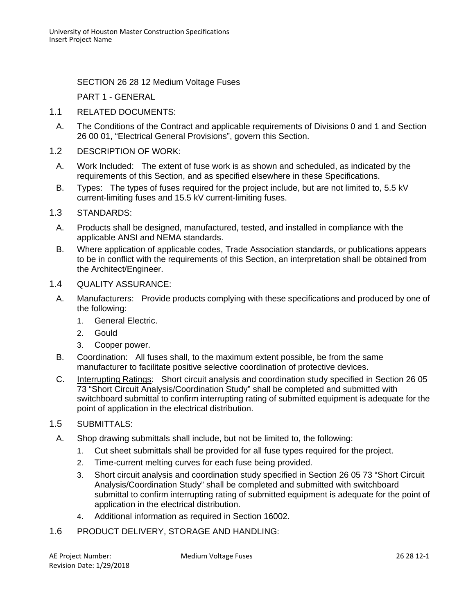SECTION 26 28 12 Medium Voltage Fuses

PART 1 - GENERAL

- 1.1 RELATED DOCUMENTS:
- A. The Conditions of the Contract and applicable requirements of Divisions 0 and 1 and Section 26 00 01, "Electrical General Provisions", govern this Section.
- 1.2 DESCRIPTION OF WORK:
	- A. Work Included: The extent of fuse work is as shown and scheduled, as indicated by the requirements of this Section, and as specified elsewhere in these Specifications.
	- B. Types: The types of fuses required for the project include, but are not limited to, 5.5 kV current-limiting fuses and 15.5 kV current-limiting fuses.
- 1.3 STANDARDS:
	- A. Products shall be designed, manufactured, tested, and installed in compliance with the applicable ANSI and NEMA standards.
	- B. Where application of applicable codes, Trade Association standards, or publications appears to be in conflict with the requirements of this Section, an interpretation shall be obtained from the Architect/Engineer.
- 1.4 QUALITY ASSURANCE:
	- A. Manufacturers: Provide products complying with these specifications and produced by one of the following:
		- 1. General Electric.
		- 2. Gould
		- 3. Cooper power.
	- B. Coordination: All fuses shall, to the maximum extent possible, be from the same manufacturer to facilitate positive selective coordination of protective devices.
	- C. Interrupting Ratings: Short circuit analysis and coordination study specified in Section 26 05 73 "Short Circuit Analysis/Coordination Study" shall be completed and submitted with switchboard submittal to confirm interrupting rating of submitted equipment is adequate for the point of application in the electrical distribution.
- 1.5 SUBMITTALS:
	- A. Shop drawing submittals shall include, but not be limited to, the following:
		- 1. Cut sheet submittals shall be provided for all fuse types required for the project.
		- 2. Time-current melting curves for each fuse being provided.
		- 3. Short circuit analysis and coordination study specified in Section 26 05 73 "Short Circuit Analysis/Coordination Study" shall be completed and submitted with switchboard submittal to confirm interrupting rating of submitted equipment is adequate for the point of application in the electrical distribution.
		- 4. Additional information as required in Section 16002.
- 1.6 PRODUCT DELIVERY, STORAGE AND HANDLING: